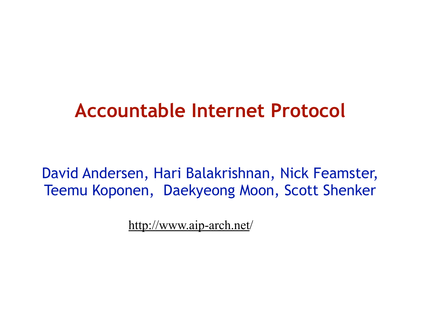# **Accountable Internet Protocol**

David Andersen, Hari Balakrishnan, Nick Feamster, Teemu Koponen, Daekyeong Moon, Scott Shenker

http://www.aip-arch.net/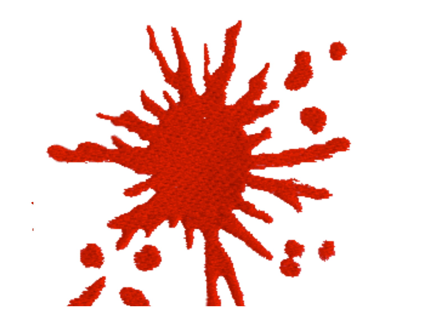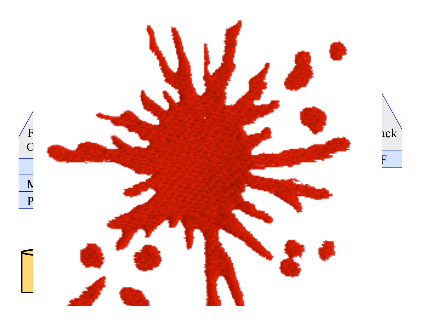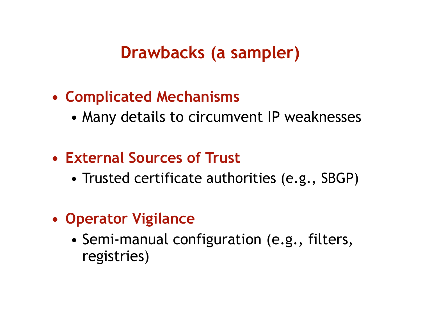#### **Drawbacks (a sampler)**

- **• Complicated Mechanisms**
	- Many details to circumvent IP weaknesses
- **• External Sources of Trust**
	- Trusted certificate authorities (e.g., SBGP)
- **• Operator Vigilance**
	- Semi-manual configuration (e.g., filters, registries)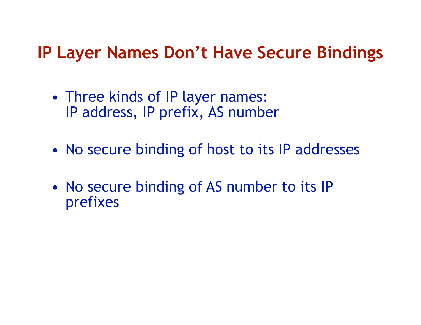#### **IP Layer Names Don't Have Secure Bindings**

- Three kinds of IP layer names: IP address, IP prefix, AS number
- No secure binding of host to its IP addresses
- No secure binding of AS number to its IP prefixes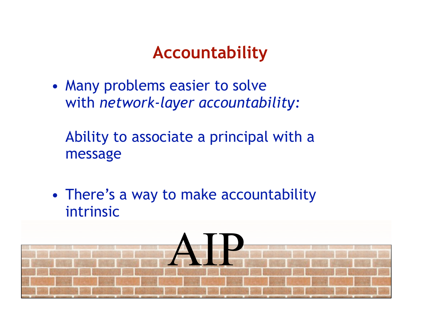### **Accountability**

• Many problems easier to solve with *network-layer accountability:*

Ability to associate a principal with a message

• There's a way to make accountability intrinsic

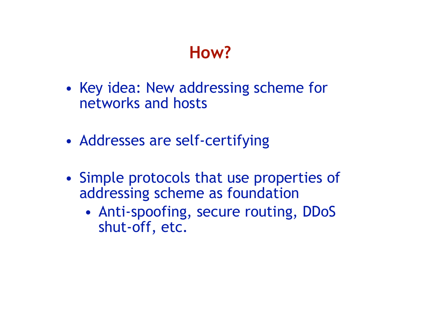# **How?**

- Key idea: New addressing scheme for networks and hosts
- Addresses are self-certifying
- Simple protocols that use properties of addressing scheme as foundation
	- Anti-spoofing, secure routing, DDoS shut-off, etc.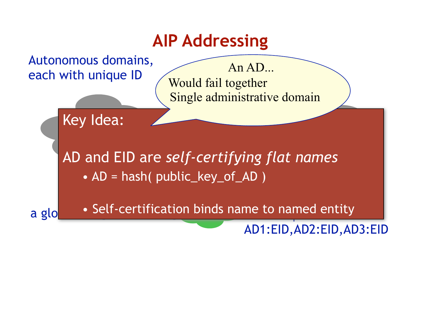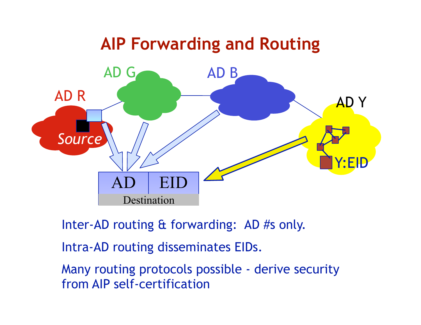

Inter-AD routing & forwarding: AD #s only.

Intra-AD routing disseminates EIDs.

Many routing protocols possible - derive security from AIP self-certification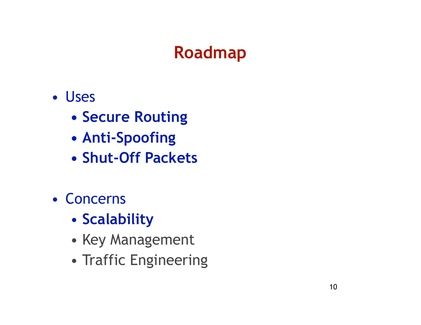# **Roadmap**

- Uses
	- **• Secure Routing**
	- **• Anti-Spoofing**
	- **• Shut-Off Packets**
- Concerns
	- **Scalability**
	- Key Management
	- Traffic Engineering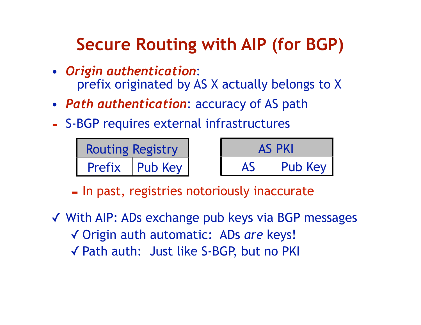# **Secure Routing with AIP (for BGP)**

- *Origin authentication*: prefix originated by AS X actually belongs to X
- *Path authentication*: accuracy of AS path
- S-BGP requires external infrastructures





- In past, registries notoriously inaccurate

✓ With AIP: ADs exchange pub keys via BGP messages ✓ Origin auth automatic: ADs *are* keys! ✓ Path auth: Just like S-BGP, but no PKI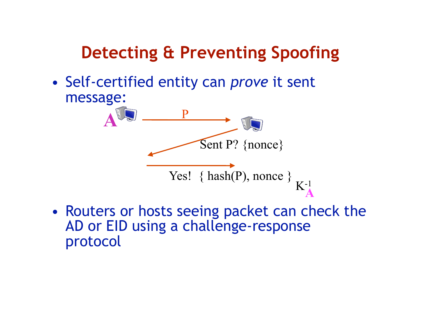### **Detecting & Preventing Spoofing**

• Self-certified entity can *prove* it sent message:



• Routers or hosts seeing packet can check the AD or EID using a challenge-response protocol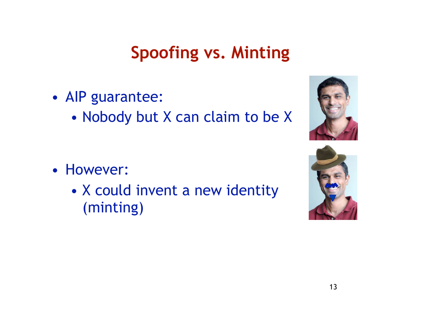# **Spoofing vs. Minting**

- AIP guarantee:
	- Nobody but X can claim to be X



- However:
	- X could invent a new identity (minting)

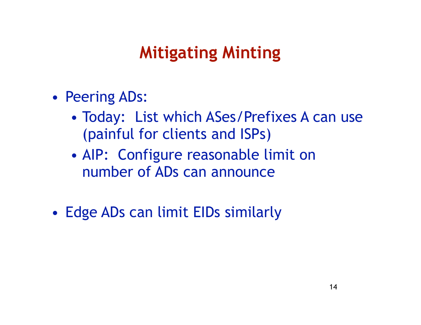# **Mitigating Minting**

- Peering ADs:
	- Today: List which ASes/Prefixes A can use (painful for clients and ISPs)
	- AIP: Configure reasonable limit on number of ADs can announce
- Edge ADs can limit EIDs similarly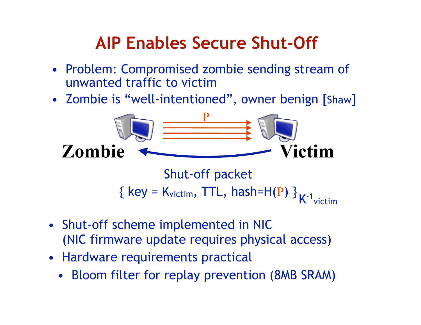# **AIP Enables Secure Shut-Off**

- Problem: Compromised zombie sending stream of unwanted traffic to victim
- Zombie is "well-intentioned", owner benign [Shaw]



- Shut-off scheme implemented in NIC (NIC firmware update requires physical access)
- Hardware requirements practical
	- Bloom filter for replay prevention (8MB SRAM)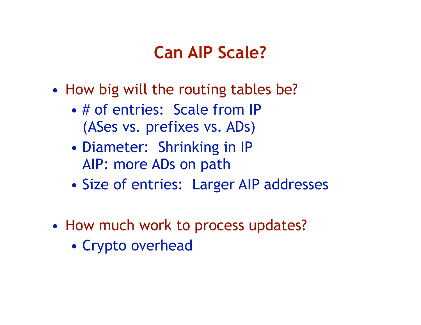#### **Can AIP Scale?**

- How big will the routing tables be?
	- # of entries: Scale from IP (ASes vs. prefixes vs. ADs)
	- Diameter: Shrinking in IP AIP: more ADs on path
	- Size of entries: Larger AIP addresses
- How much work to process updates?
	- Crypto overhead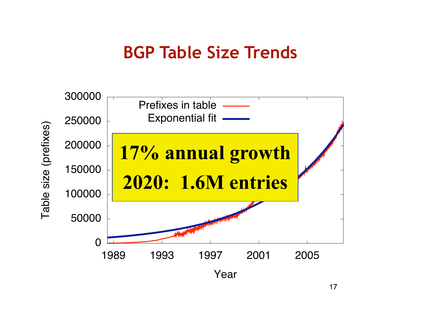#### **BGP Table Size Trends**

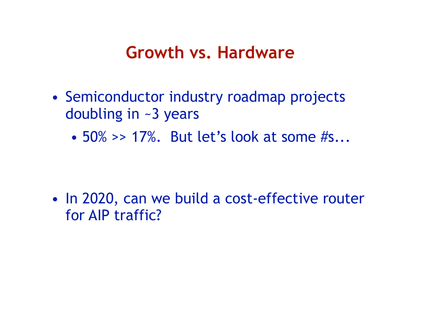#### **Growth vs. Hardware**

- Semiconductor industry roadmap projects doubling in ~3 years
	- $\cdot$  50% >> 17%. But let's look at some  $\#s...$

• In 2020, can we build a cost-effective router for AIP traffic?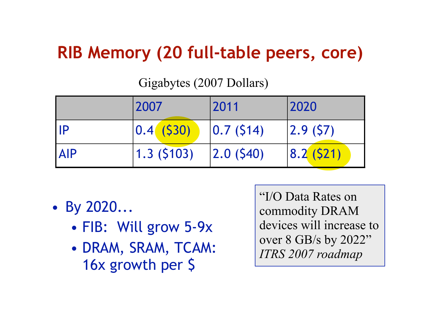# **RIB Memory (20 full-table peers, core)**

Gigabytes (2007 Dollars)

|            | 2007                 | 2011      | 2020                 |
|------------|----------------------|-----------|----------------------|
| <b>IIP</b> | $ 0.4 \times (530) $ | 0.7 (514) | $ 2.9 \text{ } (57)$ |
| <b>AIP</b> | 1.3(5103)            | 2.0 (540) | 8.2(521)             |

- By 2020...
	- FIB: Will grow 5-9x
	- DRAM, SRAM, TCAM: 16x growth per \$

Without counting evices will increas ver 8 GB/S c  $\frac{1}{U}$  Data Kates VII SUMMULLY DIN  $\frac{1}{2}$ UVCI 0 UD/8 UY 2022 "I/O Data Rates on commodity DRAM devices will increase to over 8 GB/s by 2022" *ITRS 2007 roadmap*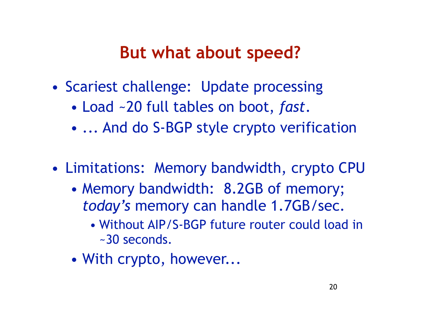#### **But what about speed?**

- Scariest challenge: Update processing
	- Load ~20 full tables on boot, *fast*.
	- ... And do S-BGP style crypto verification
- Limitations: Memory bandwidth, crypto CPU
	- Memory bandwidth: 8.2GB of memory; *today's* memory can handle 1.7GB/sec.
		- Without AIP/S-BGP future router could load in ~30 seconds.
	- With crypto, however...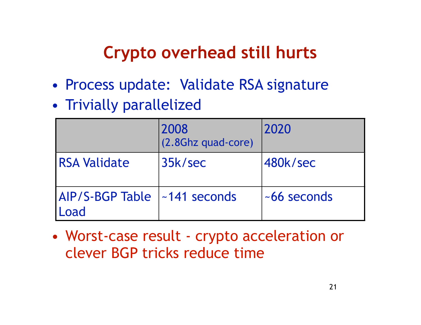# **Crypto overhead still hurts**

- Process update: Validate RSA signature
- Trivially parallelized

|                                              | 2008<br>(2.8Ghz quad-core) | 2020           |
|----------------------------------------------|----------------------------|----------------|
| <b>IRSA Validate</b>                         | 35k/sec                    | 480k/sec       |
| <b>AIP/S-BGP Table 1-141 seconds</b><br>Load |                            | $~566$ seconds |

• Worst-case result - crypto acceleration or clever BGP tricks reduce time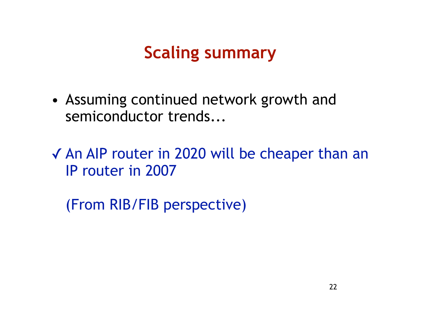# **Scaling summary**

• Assuming continued network growth and semiconductor trends...

✓ An AIP router in 2020 will be cheaper than an IP router in 2007

(From RIB/FIB perspective)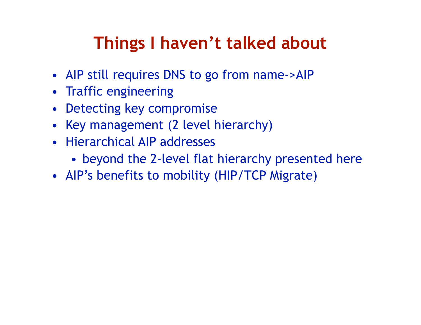# **Things I haven't talked about**

- AIP still requires DNS to go from name->AIP
- Traffic engineering
- Detecting key compromise
- Key management (2 level hierarchy)
- Hierarchical AIP addresses
	- beyond the 2-level flat hierarchy presented here
- AIP's benefits to mobility (HIP/TCP Migrate)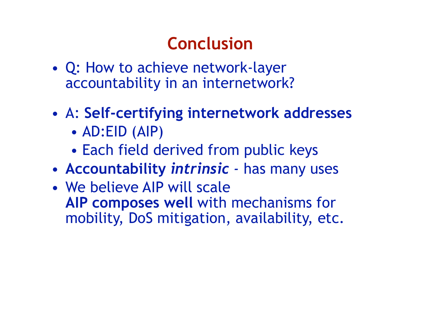# **Conclusion**

- Q: How to achieve network-layer accountability in an internetwork?
- A: **Self-certifying internetwork addresses**
	- AD:EID (AIP)
	- Each field derived from public keys
- **Accountability** *intrinsic* has many uses
- We believe AIP will scale **AIP composes well** with mechanisms for mobility, DoS mitigation, availability, etc.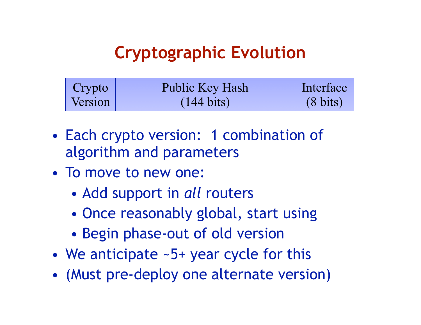# **Cryptographic Evolution**

| Crypto  | <b>Public Key Hash</b> | Interface          |
|---------|------------------------|--------------------|
| Version | $(144 \text{ bits})$   | $(8 \text{ bits})$ |

- Each crypto version: 1 combination of algorithm and parameters
- To move to new one:
	- Add support in *all* routers
	- Once reasonably global, start using
	- Begin phase-out of old version
- We anticipate ~5+ year cycle for this
- (Must pre-deploy one alternate version)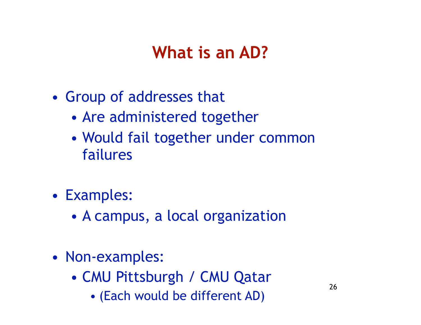### **What is an AD?**

- Group of addresses that
	- Are administered together
	- Would fail together under common failures
- Examples:
	- A campus, a local organization
- Non-examples:
	- CMU Pittsburgh / CMU Qatar
		- (Each would be different AD)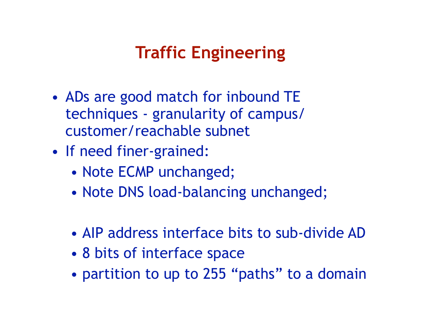# **Traffic Engineering**

- ADs are good match for inbound TE techniques - granularity of campus/ customer/reachable subnet
- If need finer-grained:
	- Note ECMP unchanged;
	- Note DNS load-balancing unchanged;
	- AIP address interface bits to sub-divide AD
	- 8 bits of interface space
	- partition to up to 255 "paths" to a domain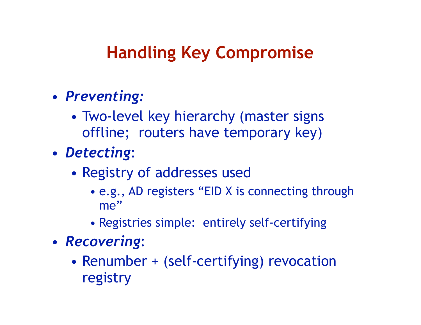# **Handling Key Compromise**

- *• Preventing:*
	- Two-level key hierarchy (master signs offline; routers have temporary key)
- *• Detecting*:
	- *•* Registry of addresses used
		- *•* e.g., AD registers "EID X is connecting through me"
		- *•* Registries simple: entirely self-certifying
- *• Recovering*:
	- Renumber + (self-certifying) revocation registry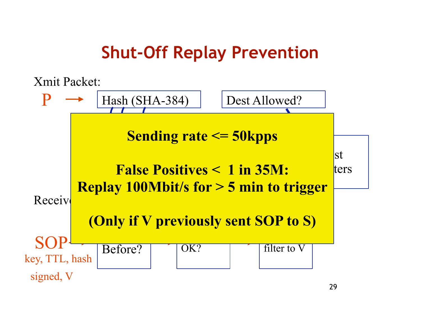#### **Shut-Off Replay Prevention**



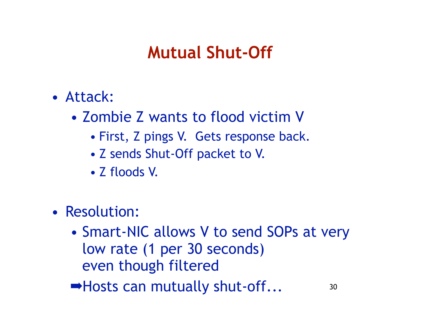# **Mutual Shut-Off**

- Attack:
	- Zombie Z wants to flood victim V
		- First, Z pings V. Gets response back.
		- Z sends Shut-Off packet to V.
		- Z floods V.
- Resolution:
	- Smart-NIC allows V to send SOPs at very low rate (1 per 30 seconds) even though filtered

■Hosts can mutually shut-off... 30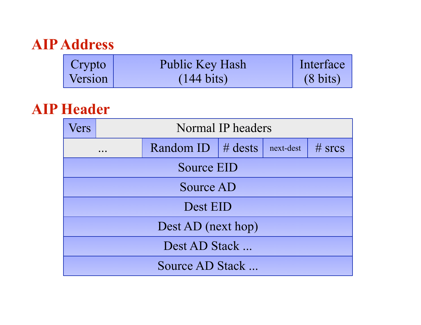#### **AIP Address**

| Crypto  | Public Key Hash      | Interface          |
|---------|----------------------|--------------------|
| Version | $(144 \text{ bits})$ | $(8 \text{ bits})$ |

#### **AIP Header**

| 'ers               | Normal IP headers |           |            |           |          |
|--------------------|-------------------|-----------|------------|-----------|----------|
|                    |                   | Random ID | $\#$ dests | next-dest | $#$ srcs |
| <b>Source EID</b>  |                   |           |            |           |          |
| Source AD          |                   |           |            |           |          |
| Dest EID           |                   |           |            |           |          |
| Dest AD (next hop) |                   |           |            |           |          |
| Dest AD Stack      |                   |           |            |           |          |
| Source AD Stack    |                   |           |            |           |          |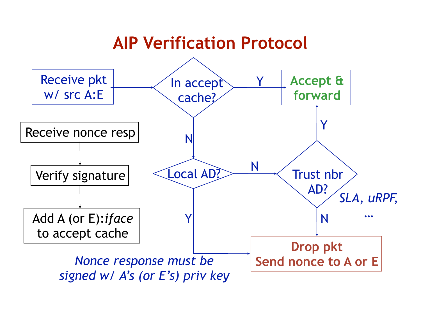#### **AIP Verification Protocol**

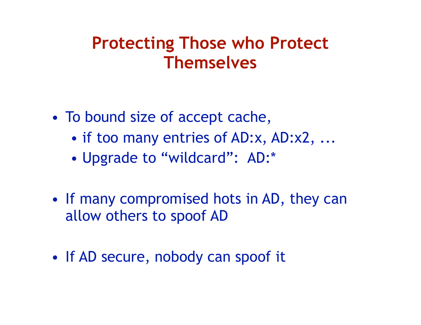#### **Protecting Those who Protect Themselves**

- To bound size of accept cache,
	- if too many entries of AD:x, AD:x2, ...
	- Upgrade to "wildcard": AD:\*
- If many compromised hots in AD, they can allow others to spoof AD
- If AD secure, nobody can spoof it